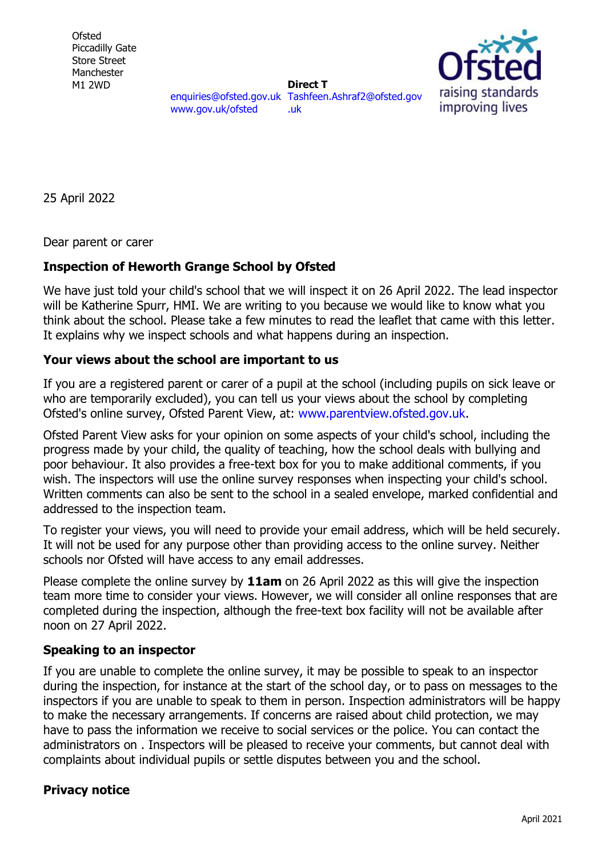**Ofsted** Piccadilly Gate Store Street Manchester M1 2WD



[enquiries@ofsted.gov.uk](mailto:enquiries@ofsted.gov.uk) [Tashfeen.Ashraf2@ofsted.gov](mailto:Tashfeen.Ashraf2@ofsted.gov.uk) [www.gov.uk/ofsted](http://www.gov.uk/ofsted) **Direct T**  [.uk](mailto:Tashfeen.Ashraf2@ofsted.gov.uk)

25 April 2022

Dear parent or carer

## **Inspection of Heworth Grange School by Ofsted**

We have just told your child's school that we will inspect it on 26 April 2022. The lead inspector will be Katherine Spurr, HMI. We are writing to you because we would like to know what you think about the school. Please take a few minutes to read the leaflet that came with this letter. It explains why we inspect schools and what happens during an inspection.

## **Your views about the school are important to us**

If you are a registered parent or carer of a pupil at the school (including pupils on sick leave or who are temporarily excluded), you can tell us your views about the school by completing Ofsted's online survey, Ofsted Parent View, at: [www.parentview.ofsted.gov.uk.](http://www.parentview.ofsted.gov.uk/)

Ofsted Parent View asks for your opinion on some aspects of your child's school, including the progress made by your child, the quality of teaching, how the school deals with bullying and poor behaviour. It also provides a free-text box for you to make additional comments, if you wish. The inspectors will use the online survey responses when inspecting your child's school. Written comments can also be sent to the school in a sealed envelope, marked confidential and addressed to the inspection team.

To register your views, you will need to provide your email address, which will be held securely. It will not be used for any purpose other than providing access to the online survey. Neither schools nor Ofsted will have access to any email addresses.

Please complete the online survey by **11am** on 26 April 2022 as this will give the inspection team more time to consider your views. However, we will consider all online responses that are completed during the inspection, although the free-text box facility will not be available after noon on 27 April 2022.

## **Speaking to an inspector**

If you are unable to complete the online survey, it may be possible to speak to an inspector during the inspection, for instance at the start of the school day, or to pass on messages to the inspectors if you are unable to speak to them in person. Inspection administrators will be happy to make the necessary arrangements. If concerns are raised about child protection, we may have to pass the information we receive to social services or the police. You can contact the administrators on . Inspectors will be pleased to receive your comments, but cannot deal with complaints about individual pupils or settle disputes between you and the school.

## **Privacy notice**